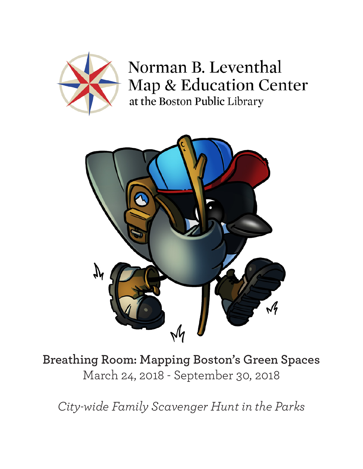

Norman B. Leventhal Map & Education Center at the Boston Public Library



**Breathing Room: Mapping Boston's Green Spaces** March 24, 2018 - September 30, 2018

*City-wide Family Scavenger Hunt in the Parks*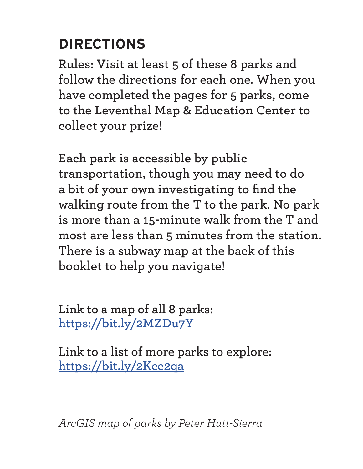## **DIRECTIONS**

**Rules: Visit at least 5 of these 8 parks and follow the directions for each one. When you have completed the pages for 5 parks, come to the Leventhal Map & Education Center to collect your prize!**

**Each park is accessible by public transportation, though you may need to do a bit of your own investigating to find the walking route from the T to the park. No park is more than a 15-minute walk from the T and most are less than 5 minutes from the station. There is a subway map at the back of this booklet to help you navigate!**

**Link to a map of all 8 parks: [https://bit.ly/2MZDu7Y](https://bit.ly/2MZDu7Y )**

**Link to a list of more parks to explore: <https://bit.ly/2Kcc2qa>**

*ArcGIS map of parks by Peter Hutt-Sierra*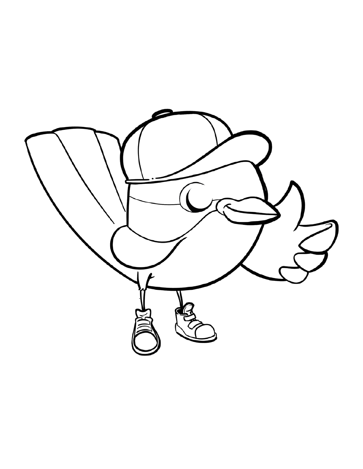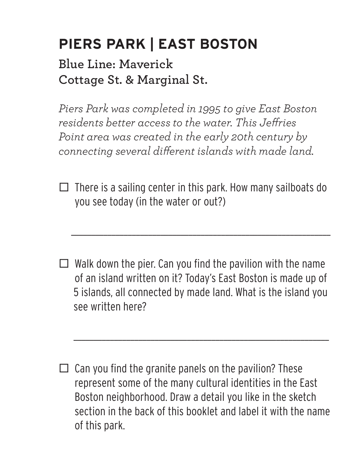## **PIERS PARK | EAST BOSTON**

**Blue Line: Maverick Cottage St. & Marginal St.** 

*Piers Park was completed in 1995 to give East Boston residents better access to the water. This Jeffries Point area was created in the early 20th century by connecting several different islands with made land.* 

 $\Box$  There is a sailing center in this park. How many sailboats do you see today (in the water or out?)

 $\overline{\phantom{a}}$  ,  $\overline{\phantom{a}}$  ,  $\overline{\phantom{a}}$  ,  $\overline{\phantom{a}}$  ,  $\overline{\phantom{a}}$  ,  $\overline{\phantom{a}}$  ,  $\overline{\phantom{a}}$  ,  $\overline{\phantom{a}}$  ,  $\overline{\phantom{a}}$  ,  $\overline{\phantom{a}}$  ,  $\overline{\phantom{a}}$  ,  $\overline{\phantom{a}}$  ,  $\overline{\phantom{a}}$  ,  $\overline{\phantom{a}}$  ,  $\overline{\phantom{a}}$  ,  $\overline{\phantom{a}}$ 

 $\square$  Walk down the pier. Can you find the pavilion with the name of an island written on it? Today's East Boston is made up of 5 islands, all connected by made land. What is the island you see written here?

\_\_\_\_\_\_\_\_\_\_\_\_\_\_\_\_\_\_\_\_\_\_\_\_\_\_\_\_\_\_\_\_\_\_\_\_\_\_\_\_\_\_\_\_\_\_\_\_\_\_\_\_\_\_\_\_\_\_\_\_\_\_\_

 $\square$  Can you find the granite panels on the pavilion? These represent some of the many cultural identities in the East Boston neighborhood. Draw a detail you like in the sketch section in the back of this booklet and label it with the name of this park.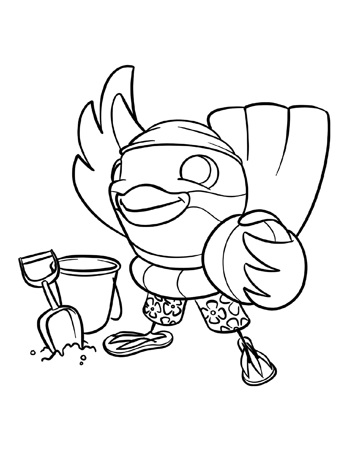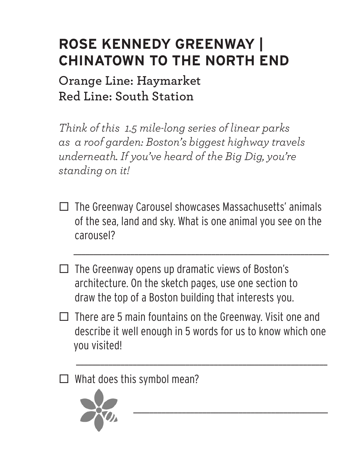### **ROSE KENNEDY GREENWAY | CHINATOWN TO THE NORTH END**

#### **Orange Line: Haymarket Red Line: South Station**

*Think of this 1.5 mile-long series of linear parks as a roof garden: Boston's biggest highway travels underneath. If you've heard of the Big Dig, you're standing on it!*

 $\Box$  The Greenway Carousel showcases Massachusetts' animals of the sea, land and sky. What is one animal you see on the carousel?

\_\_\_\_\_\_\_\_\_\_\_\_\_\_\_\_\_\_\_\_\_\_\_\_\_\_\_\_\_\_\_\_\_\_\_\_\_\_\_\_\_\_\_\_\_\_\_\_\_\_\_\_\_\_\_\_\_\_\_\_\_\_\_

- $\Box$  The Greenway opens up dramatic views of Boston's architecture. On the sketch pages, use one section to draw the top of a Boston building that interests you.
- $\square$  There are 5 main fountains on the Greenway. Visit one and describe it well enough in 5 words for us to know which one you visited!

 $\overline{\phantom{a}}$  ,  $\overline{\phantom{a}}$  ,  $\overline{\phantom{a}}$  ,  $\overline{\phantom{a}}$  ,  $\overline{\phantom{a}}$  ,  $\overline{\phantom{a}}$  ,  $\overline{\phantom{a}}$  ,  $\overline{\phantom{a}}$  ,  $\overline{\phantom{a}}$  ,  $\overline{\phantom{a}}$  ,  $\overline{\phantom{a}}$  ,  $\overline{\phantom{a}}$  ,  $\overline{\phantom{a}}$  ,  $\overline{\phantom{a}}$  ,  $\overline{\phantom{a}}$  ,  $\overline{\phantom{a}}$ 

 $\square$  What does this symbol mean?

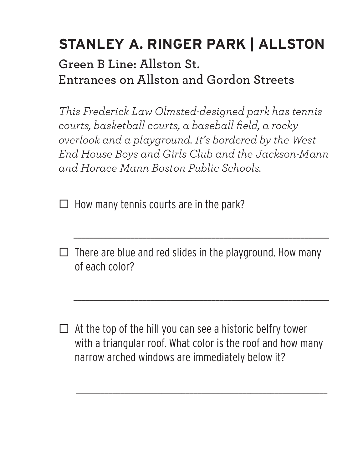## **STANLEY A. RINGER PARK | ALLSTON**

#### **Green B Line: Allston St. Entrances on Allston and Gordon Streets**

*This Frederick Law Olmsted-designed park has tennis courts, basketball courts, a baseball field, a rocky overlook and a playground. It's bordered by the West End House Boys and Girls Club and the Jackson-Mann and Horace Mann Boston Public Schools.*

 $\Box$  How many tennis courts are in the park?

 $\square$  There are blue and red slides in the playground. How many of each color?

\_\_\_\_\_\_\_\_\_\_\_\_\_\_\_\_\_\_\_\_\_\_\_\_\_\_\_\_\_\_\_\_\_\_\_\_\_\_\_\_\_\_\_\_\_\_\_\_\_\_\_\_\_\_\_\_\_\_\_\_\_\_\_

\_\_\_\_\_\_\_\_\_\_\_\_\_\_\_\_\_\_\_\_\_\_\_\_\_\_\_\_\_\_\_\_\_\_\_\_\_\_\_\_\_\_\_\_\_\_\_\_\_\_\_\_\_\_\_\_\_\_\_\_\_\_\_

 $\Box$  At the top of the hill you can see a historic belfry tower with a triangular roof. What color is the roof and how many narrow arched windows are immediately below it?

 $\overline{\phantom{a}}$  ,  $\overline{\phantom{a}}$  ,  $\overline{\phantom{a}}$  ,  $\overline{\phantom{a}}$  ,  $\overline{\phantom{a}}$  ,  $\overline{\phantom{a}}$  ,  $\overline{\phantom{a}}$  ,  $\overline{\phantom{a}}$  ,  $\overline{\phantom{a}}$  ,  $\overline{\phantom{a}}$  ,  $\overline{\phantom{a}}$  ,  $\overline{\phantom{a}}$  ,  $\overline{\phantom{a}}$  ,  $\overline{\phantom{a}}$  ,  $\overline{\phantom{a}}$  ,  $\overline{\phantom{a}}$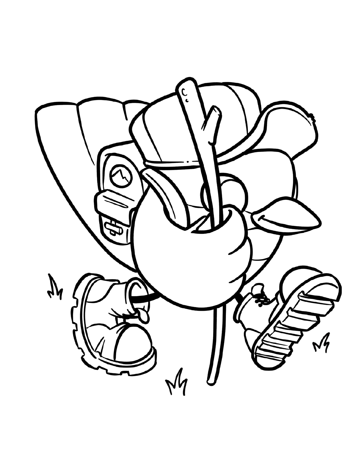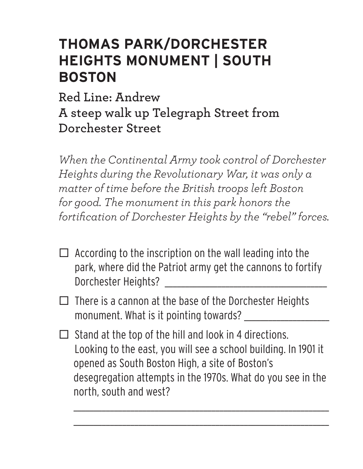#### **THOMAS PARK/DORCHESTER HEIGHTS MONUMENT | SOUTH BOSTON**

#### **Red Line: Andrew A steep walk up Telegraph Street from Dorchester Street**

*When the Continental Army took control of Dorchester Heights during the Revolutionary War, it was only a matter of time before the British troops left Boston for good. The monument in this park honors the fortification of Dorchester Heights by the "rebel" forces.* 

- $\Box$  According to the inscription on the wall leading into the park, where did the Patriot army get the cannons to fortify Dorchester Heights?
- $\Box$  There is a cannon at the base of the Dorchester Heights monument. What is it pointing towards?
- $\Box$  Stand at the top of the hill and look in 4 directions. Looking to the east, you will see a school building. In 1901 it opened as South Boston High, a site of Boston's desegregation attempts in the 1970s. What do you see in the north, south and west?

 \_\_\_\_\_\_\_\_\_\_\_\_\_\_\_\_\_\_\_\_\_\_\_\_\_\_\_\_\_\_\_\_\_\_\_\_\_\_\_\_\_\_\_\_\_\_\_\_\_\_\_\_\_\_\_\_\_\_\_\_\_\_\_ \_\_\_\_\_\_\_\_\_\_\_\_\_\_\_\_\_\_\_\_\_\_\_\_\_\_\_\_\_\_\_\_\_\_\_\_\_\_\_\_\_\_\_\_\_\_\_\_\_\_\_\_\_\_\_\_\_\_\_\_\_\_\_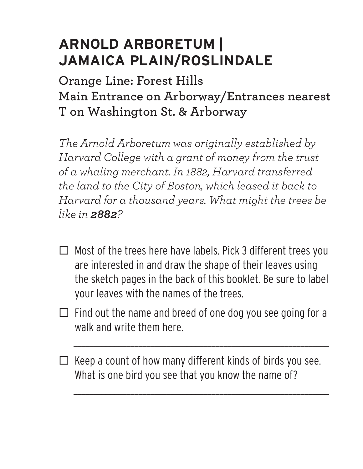### **ARNOLD ARBORETUM | JAMAICA PLAIN/ROSLINDALE**

**Orange Line: Forest Hills Main Entrance on Arborway/Entrances nearest T on Washington St. & Arborway**

*The Arnold Arboretum was originally established by Harvard College with a grant of money from the trust of a whaling merchant. In 1882, Harvard transferred the land to the City of Boston, which leased it back to Harvard for a thousand years. What might the trees be like in 2882?*

- $\square$  Most of the trees here have labels. Pick 3 different trees you are interested in and draw the shape of their leaves using the sketch pages in the back of this booklet. Be sure to label your leaves with the names of the trees.
- $\Box$  Find out the name and breed of one dog you see going for a walk and write them here. \_\_\_\_\_\_\_\_\_\_\_\_\_\_\_\_\_\_\_\_\_\_\_\_\_\_\_\_\_\_\_\_\_\_\_\_\_\_\_\_\_\_\_\_\_\_\_\_\_\_\_\_\_\_\_\_\_\_\_\_\_\_\_
- $\Box$  Keep a count of how many different kinds of birds you see. What is one bird you see that you know the name of? \_\_\_\_\_\_\_\_\_\_\_\_\_\_\_\_\_\_\_\_\_\_\_\_\_\_\_\_\_\_\_\_\_\_\_\_\_\_\_\_\_\_\_\_\_\_\_\_\_\_\_\_\_\_\_\_\_\_\_\_\_\_\_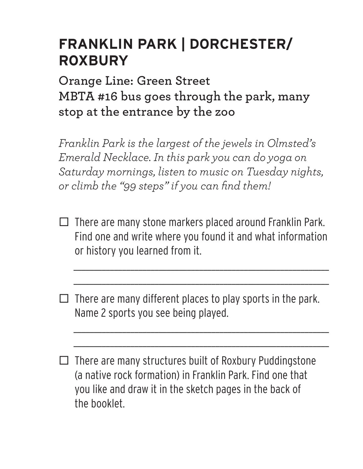### **FRANKLIN PARK | DORCHESTER/ ROXBURY**

**Orange Line: Green Street MBTA #16 bus goes through the park, many stop at the entrance by the zoo**

*Franklin Park is the largest of the jewels in Olmsted's Emerald Necklace. In this park you can do yoga on Saturday mornings, listen to music on Tuesday nights, or climb the "99 steps" if you can find them!*

 $\Box$  There are many stone markers placed around Franklin Park. Find one and write where you found it and what information or history you learned from it.

 \_\_\_\_\_\_\_\_\_\_\_\_\_\_\_\_\_\_\_\_\_\_\_\_\_\_\_\_\_\_\_\_\_\_\_\_\_\_\_\_\_\_\_\_\_\_\_\_\_\_\_\_\_\_\_\_\_\_\_\_\_\_\_ \_\_\_\_\_\_\_\_\_\_\_\_\_\_\_\_\_\_\_\_\_\_\_\_\_\_\_\_\_\_\_\_\_\_\_\_\_\_\_\_\_\_\_\_\_\_\_\_\_\_\_\_\_\_\_\_\_\_\_\_\_\_\_

 $\Box$  There are many different places to play sports in the park. Name 2 sports you see being played. \_\_\_\_\_\_\_\_\_\_\_\_\_\_\_\_\_\_\_\_\_\_\_\_\_\_\_\_\_\_\_\_\_\_\_\_\_\_\_\_\_\_\_\_\_\_\_\_\_\_\_\_\_\_\_\_\_\_\_\_\_\_\_

\_\_\_\_\_\_\_\_\_\_\_\_\_\_\_\_\_\_\_\_\_\_\_\_\_\_\_\_\_\_\_\_\_\_\_\_\_\_\_\_\_\_\_\_\_\_\_\_\_\_\_\_\_\_\_\_\_\_\_\_\_\_\_

 $\Box$  There are many structures built of Roxbury Puddingstone (a native rock formation) in Franklin Park. Find one that you like and draw it in the sketch pages in the back of the booklet.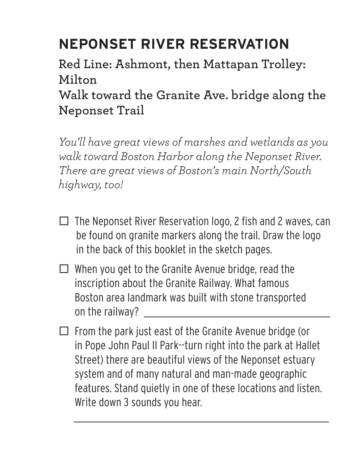# **NEPONSET RIVER RESERVATION**

#### **Red Line: Ashmont, then Mattapan Trolley: Milton**

#### **Walk toward the Granite Ave. bridge along the Neponset Trail**

*You'll have great views of marshes and wetlands as you walk toward Boston Harbor along the Neponset River. There are great views of Boston's main North/South highway, too!*

- $\Box$  The Neponset River Reservation logo, 2 fish and 2 waves, can be found on granite markers along the trail. Draw the logo in the back of this booklet in the sketch pages.
- $\square$  When you get to the Granite Avenue bridge, read the inscription about the Granite Railway. What famous Boston area landmark was built with stone transported on the railway?
- $\square$  From the park just east of the Granite Avenue bridge (or in Pope John Paul II Park--turn right into the park at Hallet Street) there are beautiful views of the Neponset estuary system and of many natural and man-made geographic features. Stand quietly in one of these locations and listen. Write down 3 sounds you hear.

\_\_\_\_\_\_\_\_\_\_\_\_\_\_\_\_\_\_\_\_\_\_\_\_\_\_\_\_\_\_\_\_\_\_\_\_\_\_\_\_\_\_\_\_\_\_\_\_\_\_\_\_\_\_\_\_\_\_\_\_\_\_\_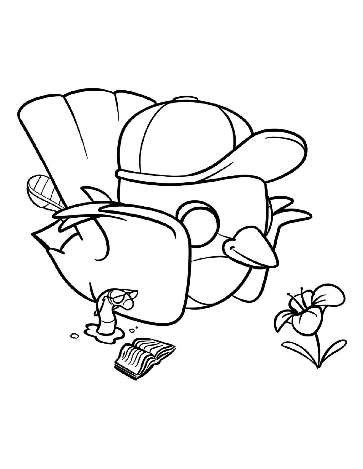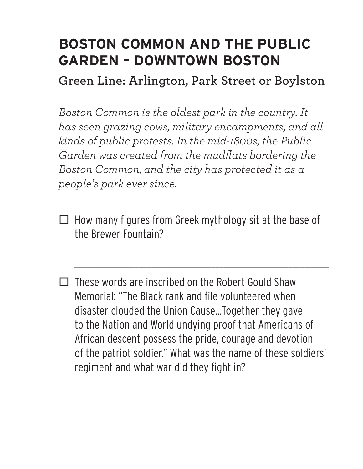#### **BOSTON COMMON AND THE PUBLIC GARDEN – DOWNTOWN BOSTON**

**Green Line: Arlington, Park Street or Boylston**

*Boston Common is the oldest park in the country. It has seen grazing cows, military encampments, and all kinds of public protests. In the mid-1800s, the Public Garden was created from the mudflats bordering the Boston Common, and the city has protected it as a people's park ever since.*

 $\square$  How many figures from Greek mythology sit at the base of the Brewer Fountain?

\_\_\_\_\_\_\_\_\_\_\_\_\_\_\_\_\_\_\_\_\_\_\_\_\_\_\_\_\_\_\_\_\_\_\_\_\_\_\_\_\_\_\_\_\_\_\_\_\_\_\_\_\_\_\_\_\_\_\_\_\_\_\_

 $\Box$  These words are inscribed on the Robert Gould Shaw Memorial: "The Black rank and file volunteered when disaster clouded the Union Cause…Together they gave to the Nation and World undying proof that Americans of African descent possess the pride, courage and devotion of the patriot soldier." What was the name of these soldiers' regiment and what war did they fight in?

\_\_\_\_\_\_\_\_\_\_\_\_\_\_\_\_\_\_\_\_\_\_\_\_\_\_\_\_\_\_\_\_\_\_\_\_\_\_\_\_\_\_\_\_\_\_\_\_\_\_\_\_\_\_\_\_\_\_\_\_\_\_\_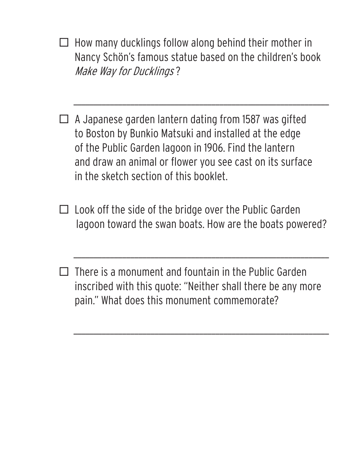$\Box$  How many ducklings follow along behind their mother in Nancy Schön's famous statue based on the children's book Make Way for Ducklings ?

\_\_\_\_\_\_\_\_\_\_\_\_\_\_\_\_\_\_\_\_\_\_\_\_\_\_\_\_\_\_\_\_\_\_\_\_\_\_\_\_\_\_\_\_\_\_\_\_\_\_\_\_\_\_\_\_\_\_\_\_\_\_\_

- $\Box$  A Japanese garden lantern dating from 1587 was gifted to Boston by Bunkio Matsuki and installed at the edge of the Public Garden lagoon in 1906. Find the lantern and draw an animal or flower you see cast on its surface in the sketch section of this booklet.
- $\square$  Look off the side of the bridge over the Public Garden lagoon toward the swan boats. How are the boats powered?

\_\_\_\_\_\_\_\_\_\_\_\_\_\_\_\_\_\_\_\_\_\_\_\_\_\_\_\_\_\_\_\_\_\_\_\_\_\_\_\_\_\_\_\_\_\_\_\_\_\_\_\_\_\_\_\_\_\_\_\_\_\_\_

 $\Box$  There is a monument and fountain in the Public Garden inscribed with this quote: "Neither shall there be any more pain." What does this monument commemorate?

\_\_\_\_\_\_\_\_\_\_\_\_\_\_\_\_\_\_\_\_\_\_\_\_\_\_\_\_\_\_\_\_\_\_\_\_\_\_\_\_\_\_\_\_\_\_\_\_\_\_\_\_\_\_\_\_\_\_\_\_\_\_\_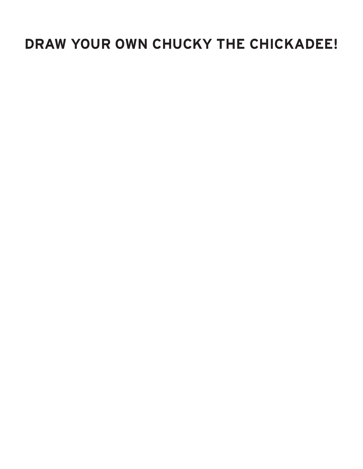#### **DRAW YOUR OWN CHUCKY THE CHICKADEE!**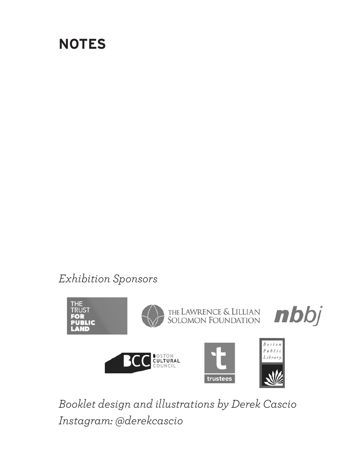#### **NOTES**

#### *Exhibition Sponsors*



*Booklet design and illustrations by Derek Cascio Instagram: @derekcascio*